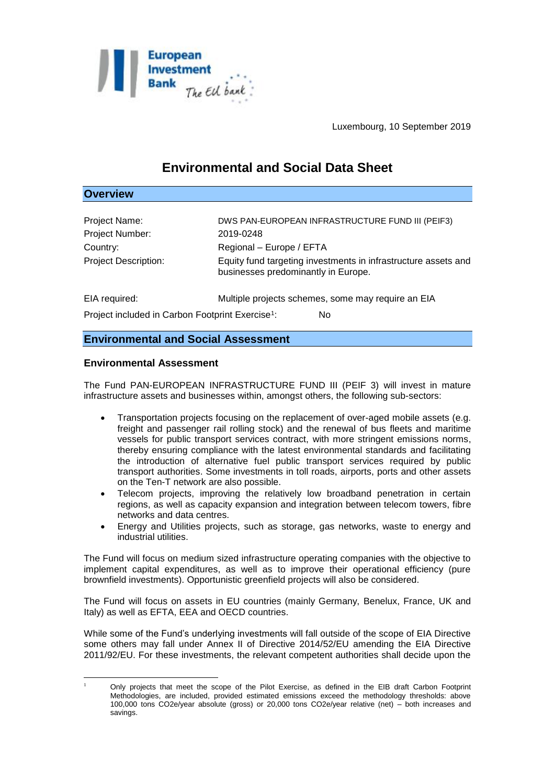

# **Environmental and Social Data Sheet**

## **Overview**

| Project Name:                                                | DWS PAN-EUROPEAN INFRASTRUCTURE FUND III (PEIF3)                                                      |
|--------------------------------------------------------------|-------------------------------------------------------------------------------------------------------|
| Project Number:                                              | 2019-0248                                                                                             |
| Country:                                                     | Regional - Europe / EFTA                                                                              |
| <b>Project Description:</b>                                  | Equity fund targeting investments in infrastructure assets and<br>businesses predominantly in Europe. |
| EIA required:                                                | Multiple projects schemes, some may require an EIA                                                    |
| Project included in Carbon Footprint Exercise <sup>1</sup> : | No                                                                                                    |

## **Environmental and Social Assessment**

## **Environmental Assessment**

The Fund PAN-EUROPEAN INFRASTRUCTURE FUND III (PEIF 3) will invest in mature infrastructure assets and businesses within, amongst others, the following sub-sectors:

- Transportation projects focusing on the replacement of over-aged mobile assets (e.g. freight and passenger rail rolling stock) and the renewal of bus fleets and maritime vessels for public transport services contract, with more stringent emissions norms, thereby ensuring compliance with the latest environmental standards and facilitating the introduction of alternative fuel public transport services required by public transport authorities. Some investments in toll roads, airports, ports and other assets on the Ten-T network are also possible.
- Telecom projects, improving the relatively low broadband penetration in certain regions, as well as capacity expansion and integration between telecom towers, fibre networks and data centres.
- Energy and Utilities projects, such as storage, gas networks, waste to energy and industrial utilities.

The Fund will focus on medium sized infrastructure operating companies with the objective to implement capital expenditures, as well as to improve their operational efficiency (pure brownfield investments). Opportunistic greenfield projects will also be considered.

The Fund will focus on assets in EU countries (mainly Germany, Benelux, France, UK and Italy) as well as EFTA, EEA and OECD countries.

While some of the Fund's underlying investments will fall outside of the scope of EIA Directive some others may fall under Annex II of Directive 2014/52/EU amending the EIA Directive 2011/92/EU. For these investments, the relevant competent authorities shall decide upon the

<sup>1</sup> <sup>1</sup> Only projects that meet the scope of the Pilot Exercise, as defined in the EIB draft Carbon Footprint Methodologies, are included, provided estimated emissions exceed the methodology thresholds: above 100,000 tons CO2e/year absolute (gross) or 20,000 tons CO2e/year relative (net) – both increases and savings.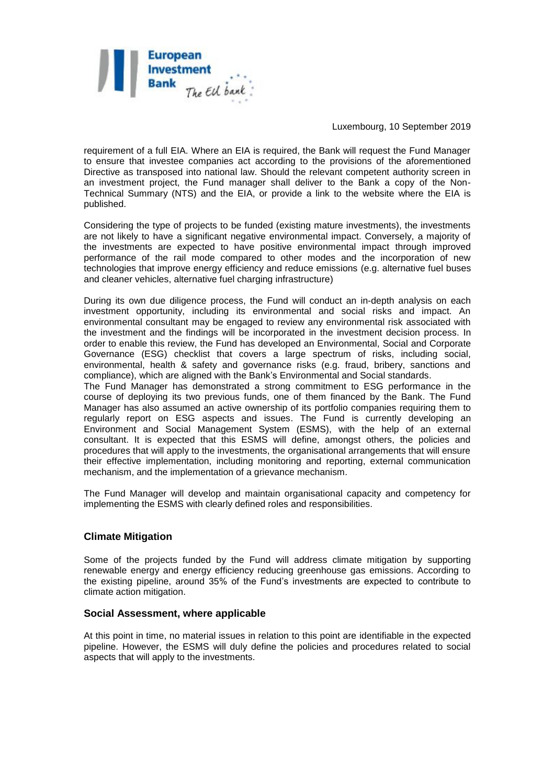

requirement of a full EIA. Where an EIA is required, the Bank will request the Fund Manager to ensure that investee companies act according to the provisions of the aforementioned Directive as transposed into national law. Should the relevant competent authority screen in an investment project, the Fund manager shall deliver to the Bank a copy of the Non-Technical Summary (NTS) and the EIA, or provide a link to the website where the EIA is published.

Considering the type of projects to be funded (existing mature investments), the investments are not likely to have a significant negative environmental impact. Conversely, a majority of the investments are expected to have positive environmental impact through improved performance of the rail mode compared to other modes and the incorporation of new technologies that improve energy efficiency and reduce emissions (e.g. alternative fuel buses and cleaner vehicles, alternative fuel charging infrastructure)

During its own due diligence process, the Fund will conduct an in-depth analysis on each investment opportunity, including its environmental and social risks and impact. An environmental consultant may be engaged to review any environmental risk associated with the investment and the findings will be incorporated in the investment decision process. In order to enable this review, the Fund has developed an Environmental, Social and Corporate Governance (ESG) checklist that covers a large spectrum of risks, including social, environmental, health & safety and governance risks (e.g. fraud, bribery, sanctions and compliance), which are aligned with the Bank's Environmental and Social standards.

The Fund Manager has demonstrated a strong commitment to ESG performance in the course of deploying its two previous funds, one of them financed by the Bank. The Fund Manager has also assumed an active ownership of its portfolio companies requiring them to regularly report on ESG aspects and issues. The Fund is currently developing an Environment and Social Management System (ESMS), with the help of an external consultant. It is expected that this ESMS will define, amongst others, the policies and procedures that will apply to the investments, the organisational arrangements that will ensure their effective implementation, including monitoring and reporting, external communication mechanism, and the implementation of a grievance mechanism.

The Fund Manager will develop and maintain organisational capacity and competency for implementing the ESMS with clearly defined roles and responsibilities.

## **Climate Mitigation**

Some of the projects funded by the Fund will address climate mitigation by supporting renewable energy and energy efficiency reducing greenhouse gas emissions. According to the existing pipeline, around 35% of the Fund's investments are expected to contribute to climate action mitigation.

#### **Social Assessment, where applicable**

At this point in time, no material issues in relation to this point are identifiable in the expected pipeline. However, the ESMS will duly define the policies and procedures related to social aspects that will apply to the investments.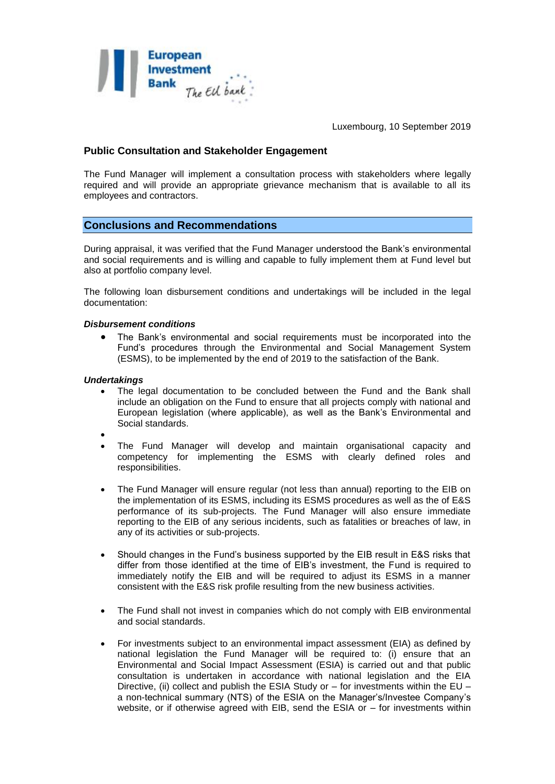

## **Public Consultation and Stakeholder Engagement**

The Fund Manager will implement a consultation process with stakeholders where legally required and will provide an appropriate grievance mechanism that is available to all its employees and contractors.

## **Conclusions and Recommendations**

During appraisal, it was verified that the Fund Manager understood the Bank's environmental and social requirements and is willing and capable to fully implement them at Fund level but also at portfolio company level.

The following loan disbursement conditions and undertakings will be included in the legal documentation:

#### *Disbursement conditions*

 The Bank's environmental and social requirements must be incorporated into the Fund's procedures through the Environmental and Social Management System (ESMS), to be implemented by the end of 2019 to the satisfaction of the Bank.

#### *Undertakings*

- The legal documentation to be concluded between the Fund and the Bank shall include an obligation on the Fund to ensure that all projects comply with national and European legislation (where applicable), as well as the Bank's Environmental and Social standards.
- $\bullet$
- The Fund Manager will develop and maintain organisational capacity and competency for implementing the ESMS with clearly defined roles and responsibilities.
- The Fund Manager will ensure regular (not less than annual) reporting to the EIB on the implementation of its ESMS, including its ESMS procedures as well as the of E&S performance of its sub-projects. The Fund Manager will also ensure immediate reporting to the EIB of any serious incidents, such as fatalities or breaches of law, in any of its activities or sub-projects.
- Should changes in the Fund's business supported by the EIB result in E&S risks that differ from those identified at the time of EIB's investment, the Fund is required to immediately notify the EIB and will be required to adjust its ESMS in a manner consistent with the E&S risk profile resulting from the new business activities.
- The Fund shall not invest in companies which do not comply with EIB environmental and social standards.
- For investments subject to an environmental impact assessment (EIA) as defined by national legislation the Fund Manager will be required to: (i) ensure that an Environmental and Social Impact Assessment (ESIA) is carried out and that public consultation is undertaken in accordance with national legislation and the EIA Directive, (ii) collect and publish the ESIA Study or – for investments within the EU – a non-technical summary (NTS) of the ESIA on the Manager's/Investee Company's website, or if otherwise agreed with EIB, send the ESIA or – for investments within